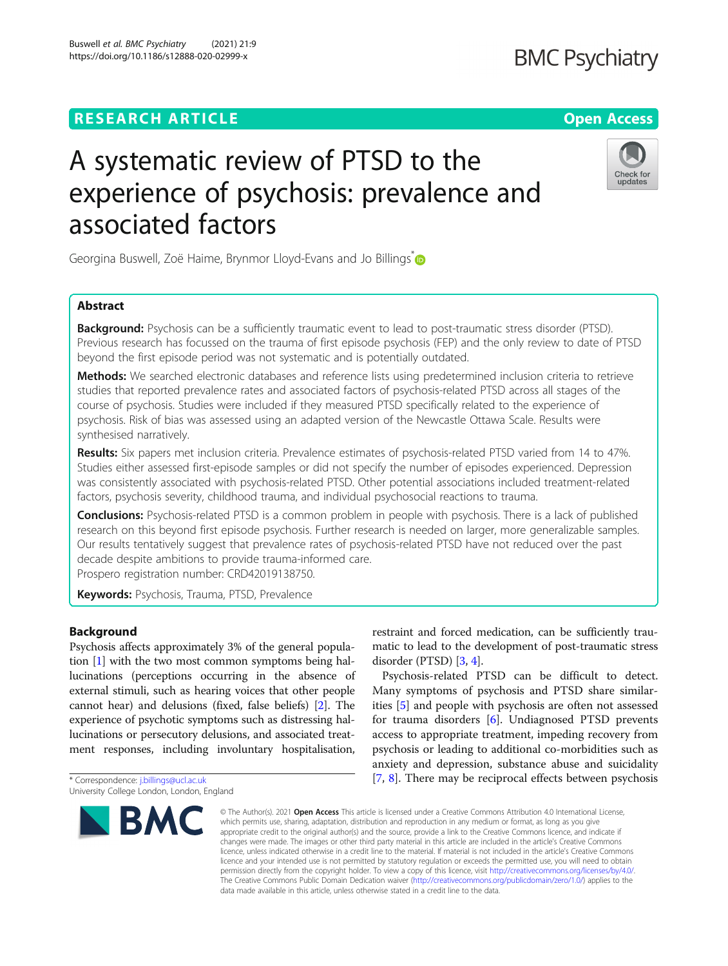# **RESEARCH ARTICLE Example 2014 12:30 The Contract of Contract ACCESS**

# A systematic review of PTSD to the experience of psychosis: prevalence and associated factors

Georgina Buswell, Zoë Haime, Brynmor Lloyd-Evans and Jo Billings <sup>[\\*](http://orcid.org/0000-0003-1238-2440)</sup>

# Abstract

Background: Psychosis can be a sufficiently traumatic event to lead to post-traumatic stress disorder (PTSD). Previous research has focussed on the trauma of first episode psychosis (FEP) and the only review to date of PTSD beyond the first episode period was not systematic and is potentially outdated.

Methods: We searched electronic databases and reference lists using predetermined inclusion criteria to retrieve studies that reported prevalence rates and associated factors of psychosis-related PTSD across all stages of the course of psychosis. Studies were included if they measured PTSD specifically related to the experience of psychosis. Risk of bias was assessed using an adapted version of the Newcastle Ottawa Scale. Results were synthesised narratively.

Results: Six papers met inclusion criteria. Prevalence estimates of psychosis-related PTSD varied from 14 to 47%. Studies either assessed first-episode samples or did not specify the number of episodes experienced. Depression was consistently associated with psychosis-related PTSD. Other potential associations included treatment-related factors, psychosis severity, childhood trauma, and individual psychosocial reactions to trauma.

**Conclusions:** Psychosis-related PTSD is a common problem in people with psychosis. There is a lack of published research on this beyond first episode psychosis. Further research is needed on larger, more generalizable samples. Our results tentatively suggest that prevalence rates of psychosis-related PTSD have not reduced over the past decade despite ambitions to provide trauma-informed care. Prospero registration number: CRD42019138750.

Keywords: Psychosis, Trauma, PTSD, Prevalence

# Background

Psychosis affects approximately 3% of the general population [[1\]](#page-12-0) with the two most common symptoms being hallucinations (perceptions occurring in the absence of external stimuli, such as hearing voices that other people cannot hear) and delusions (fixed, false beliefs) [\[2\]](#page-12-0). The experience of psychotic symptoms such as distressing hallucinations or persecutory delusions, and associated treatment responses, including involuntary hospitalisation,

\* Correspondence: [j.billings@ucl.ac.uk](mailto:j.billings@ucl.ac.uk) University College London, London, England

**BMC** 

restraint and forced medication, can be sufficiently traumatic to lead to the development of post-traumatic stress disorder (PTSD) [\[3,](#page-12-0) [4](#page-12-0)]. Psychosis-related PTSD can be difficult to detect.

Many symptoms of psychosis and PTSD share similarities [\[5](#page-12-0)] and people with psychosis are often not assessed for trauma disorders [\[6](#page-12-0)]. Undiagnosed PTSD prevents access to appropriate treatment, impeding recovery from psychosis or leading to additional co-morbidities such as anxiety and depression, substance abuse and suicidality [[7,](#page-12-0) [8\]](#page-12-0). There may be reciprocal effects between psychosis

© The Author(s), 2021 **Open Access** This article is licensed under a Creative Commons Attribution 4.0 International License, which permits use, sharing, adaptation, distribution and reproduction in any medium or format, as long as you give appropriate credit to the original author(s) and the source, provide a link to the Creative Commons licence, and indicate if changes were made. The images or other third party material in this article are included in the article's Creative Commons licence, unless indicated otherwise in a credit line to the material. If material is not included in the article's Creative Commons licence and your intended use is not permitted by statutory regulation or exceeds the permitted use, you will need to obtain permission directly from the copyright holder. To view a copy of this licence, visit [http://creativecommons.org/licenses/by/4.0/.](http://creativecommons.org/licenses/by/4.0/) The Creative Commons Public Domain Dedication waiver [\(http://creativecommons.org/publicdomain/zero/1.0/](http://creativecommons.org/publicdomain/zero/1.0/)) applies to the data made available in this article, unless otherwise stated in a credit line to the data.



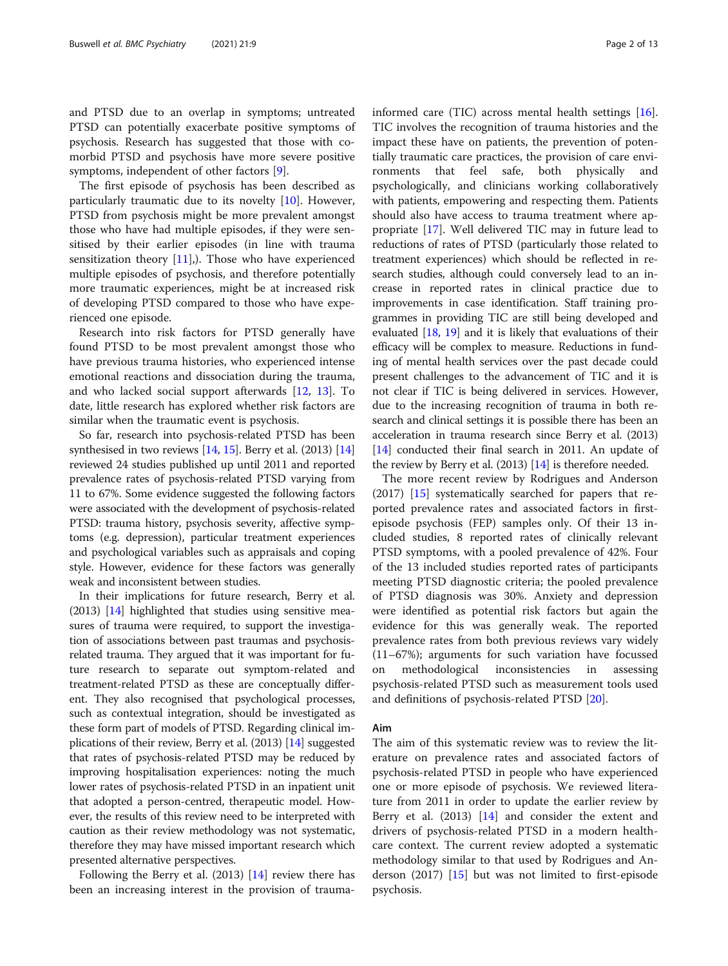and PTSD due to an overlap in symptoms; untreated PTSD can potentially exacerbate positive symptoms of psychosis. Research has suggested that those with comorbid PTSD and psychosis have more severe positive symptoms, independent of other factors [\[9](#page-12-0)].

The first episode of psychosis has been described as particularly traumatic due to its novelty [[10](#page-12-0)]. However, PTSD from psychosis might be more prevalent amongst those who have had multiple episodes, if they were sensitised by their earlier episodes (in line with trauma sensitization theory  $[11]$  $[11]$ ,). Those who have experienced multiple episodes of psychosis, and therefore potentially more traumatic experiences, might be at increased risk of developing PTSD compared to those who have experienced one episode.

Research into risk factors for PTSD generally have found PTSD to be most prevalent amongst those who have previous trauma histories, who experienced intense emotional reactions and dissociation during the trauma, and who lacked social support afterwards [[12](#page-12-0), [13\]](#page-12-0). To date, little research has explored whether risk factors are similar when the traumatic event is psychosis.

So far, research into psychosis-related PTSD has been synthesised in two reviews  $[14, 15]$  $[14, 15]$  $[14, 15]$  $[14, 15]$ . Berry et al.  $(2013)$   $[14]$  $[14]$  $[14]$ reviewed 24 studies published up until 2011 and reported prevalence rates of psychosis-related PTSD varying from 11 to 67%. Some evidence suggested the following factors were associated with the development of psychosis-related PTSD: trauma history, psychosis severity, affective symptoms (e.g. depression), particular treatment experiences and psychological variables such as appraisals and coping style. However, evidence for these factors was generally weak and inconsistent between studies.

In their implications for future research, Berry et al. (2013) [\[14\]](#page-12-0) highlighted that studies using sensitive measures of trauma were required, to support the investigation of associations between past traumas and psychosisrelated trauma. They argued that it was important for future research to separate out symptom-related and treatment-related PTSD as these are conceptually different. They also recognised that psychological processes, such as contextual integration, should be investigated as these form part of models of PTSD. Regarding clinical implications of their review, Berry et al. (2013) [\[14](#page-12-0)] suggested that rates of psychosis-related PTSD may be reduced by improving hospitalisation experiences: noting the much lower rates of psychosis-related PTSD in an inpatient unit that adopted a person-centred, therapeutic model. However, the results of this review need to be interpreted with caution as their review methodology was not systematic, therefore they may have missed important research which presented alternative perspectives.

Following the Berry et al. (2013) [\[14](#page-12-0)] review there has been an increasing interest in the provision of traumainformed care (TIC) across mental health settings [\[16](#page-12-0)]. TIC involves the recognition of trauma histories and the impact these have on patients, the prevention of potentially traumatic care practices, the provision of care environments that feel safe, both physically and psychologically, and clinicians working collaboratively with patients, empowering and respecting them. Patients should also have access to trauma treatment where appropriate [\[17](#page-12-0)]. Well delivered TIC may in future lead to reductions of rates of PTSD (particularly those related to treatment experiences) which should be reflected in research studies, although could conversely lead to an increase in reported rates in clinical practice due to improvements in case identification. Staff training programmes in providing TIC are still being developed and evaluated [[18](#page-12-0), [19\]](#page-12-0) and it is likely that evaluations of their efficacy will be complex to measure. Reductions in funding of mental health services over the past decade could present challenges to the advancement of TIC and it is not clear if TIC is being delivered in services. However, due to the increasing recognition of trauma in both research and clinical settings it is possible there has been an acceleration in trauma research since Berry et al. (2013) [[14](#page-12-0)] conducted their final search in 2011. An update of the review by Berry et al. (2013) [\[14\]](#page-12-0) is therefore needed.

The more recent review by Rodrigues and Anderson (2017) [[15\]](#page-12-0) systematically searched for papers that reported prevalence rates and associated factors in firstepisode psychosis (FEP) samples only. Of their 13 included studies, 8 reported rates of clinically relevant PTSD symptoms, with a pooled prevalence of 42%. Four of the 13 included studies reported rates of participants meeting PTSD diagnostic criteria; the pooled prevalence of PTSD diagnosis was 30%. Anxiety and depression were identified as potential risk factors but again the evidence for this was generally weak. The reported prevalence rates from both previous reviews vary widely (11–67%); arguments for such variation have focussed on methodological inconsistencies in assessing psychosis-related PTSD such as measurement tools used and definitions of psychosis-related PTSD [[20](#page-12-0)].

### Aim

The aim of this systematic review was to review the literature on prevalence rates and associated factors of psychosis-related PTSD in people who have experienced one or more episode of psychosis. We reviewed literature from 2011 in order to update the earlier review by Berry et al. (2013) [[14\]](#page-12-0) and consider the extent and drivers of psychosis-related PTSD in a modern healthcare context. The current review adopted a systematic methodology similar to that used by Rodrigues and Anderson (2017) [\[15\]](#page-12-0) but was not limited to first-episode psychosis.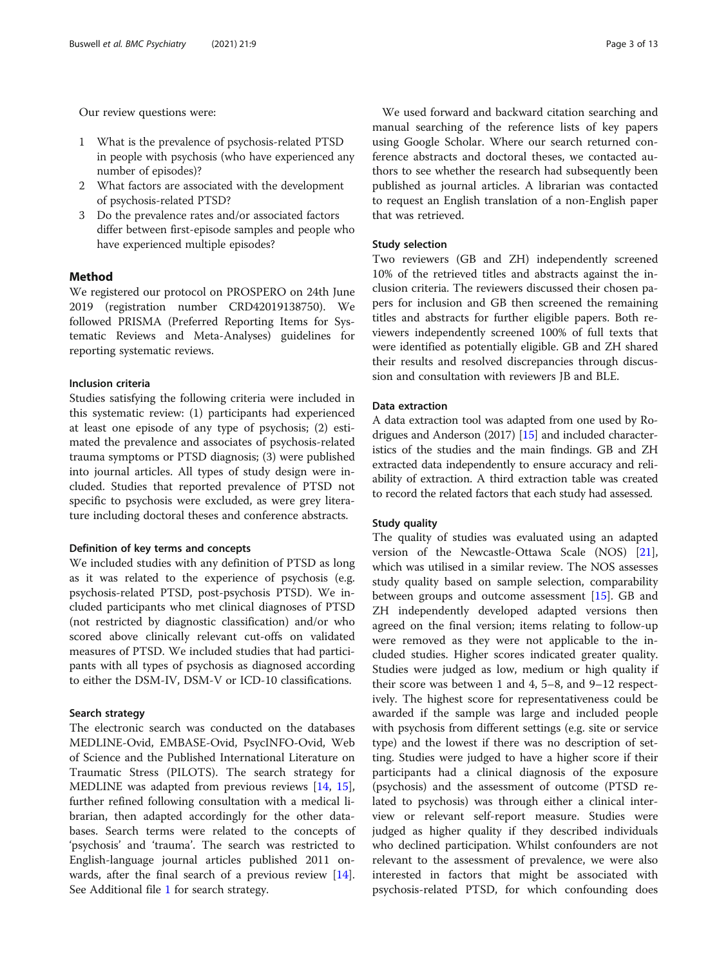Our review questions were:

- 1 What is the prevalence of psychosis-related PTSD in people with psychosis (who have experienced any number of episodes)?
- 2 What factors are associated with the development of psychosis-related PTSD?
- 3 Do the prevalence rates and/or associated factors differ between first-episode samples and people who have experienced multiple episodes?

# Method

We registered our protocol on PROSPERO on 24th June 2019 (registration number CRD42019138750). We followed PRISMA (Preferred Reporting Items for Systematic Reviews and Meta-Analyses) guidelines for reporting systematic reviews.

#### Inclusion criteria

Studies satisfying the following criteria were included in this systematic review: (1) participants had experienced at least one episode of any type of psychosis; (2) estimated the prevalence and associates of psychosis-related trauma symptoms or PTSD diagnosis; (3) were published into journal articles. All types of study design were included. Studies that reported prevalence of PTSD not specific to psychosis were excluded, as were grey literature including doctoral theses and conference abstracts.

#### Definition of key terms and concepts

We included studies with any definition of PTSD as long as it was related to the experience of psychosis (e.g. psychosis-related PTSD, post-psychosis PTSD). We included participants who met clinical diagnoses of PTSD (not restricted by diagnostic classification) and/or who scored above clinically relevant cut-offs on validated measures of PTSD. We included studies that had participants with all types of psychosis as diagnosed according to either the DSM-IV, DSM-V or ICD-10 classifications.

#### Search strategy

The electronic search was conducted on the databases MEDLINE-Ovid, EMBASE-Ovid, PsycINFO-Ovid, Web of Science and the Published International Literature on Traumatic Stress (PILOTS). The search strategy for MEDLINE was adapted from previous reviews [\[14](#page-12-0), [15](#page-12-0)], further refined following consultation with a medical librarian, then adapted accordingly for the other databases. Search terms were related to the concepts of 'psychosis' and 'trauma'. The search was restricted to English-language journal articles published 2011 onwards, after the final search of a previous review [\[14](#page-12-0)]. See Additional file [1](#page-11-0) for search strategy.

We used forward and backward citation searching and manual searching of the reference lists of key papers using Google Scholar. Where our search returned conference abstracts and doctoral theses, we contacted authors to see whether the research had subsequently been published as journal articles. A librarian was contacted to request an English translation of a non-English paper that was retrieved.

#### Study selection

Two reviewers (GB and ZH) independently screened 10% of the retrieved titles and abstracts against the inclusion criteria. The reviewers discussed their chosen papers for inclusion and GB then screened the remaining titles and abstracts for further eligible papers. Both reviewers independently screened 100% of full texts that were identified as potentially eligible. GB and ZH shared their results and resolved discrepancies through discussion and consultation with reviewers JB and BLE.

# Data extraction

A data extraction tool was adapted from one used by Rodrigues and Anderson (2017) [[15](#page-12-0)] and included characteristics of the studies and the main findings. GB and ZH extracted data independently to ensure accuracy and reliability of extraction. A third extraction table was created to record the related factors that each study had assessed.

#### Study quality

The quality of studies was evaluated using an adapted version of the Newcastle-Ottawa Scale (NOS) [\[21](#page-12-0)], which was utilised in a similar review. The NOS assesses study quality based on sample selection, comparability between groups and outcome assessment [[15\]](#page-12-0). GB and ZH independently developed adapted versions then agreed on the final version; items relating to follow-up were removed as they were not applicable to the included studies. Higher scores indicated greater quality. Studies were judged as low, medium or high quality if their score was between 1 and 4, 5–8, and 9–12 respectively. The highest score for representativeness could be awarded if the sample was large and included people with psychosis from different settings (e.g. site or service type) and the lowest if there was no description of setting. Studies were judged to have a higher score if their participants had a clinical diagnosis of the exposure (psychosis) and the assessment of outcome (PTSD related to psychosis) was through either a clinical interview or relevant self-report measure. Studies were judged as higher quality if they described individuals who declined participation. Whilst confounders are not relevant to the assessment of prevalence, we were also interested in factors that might be associated with psychosis-related PTSD, for which confounding does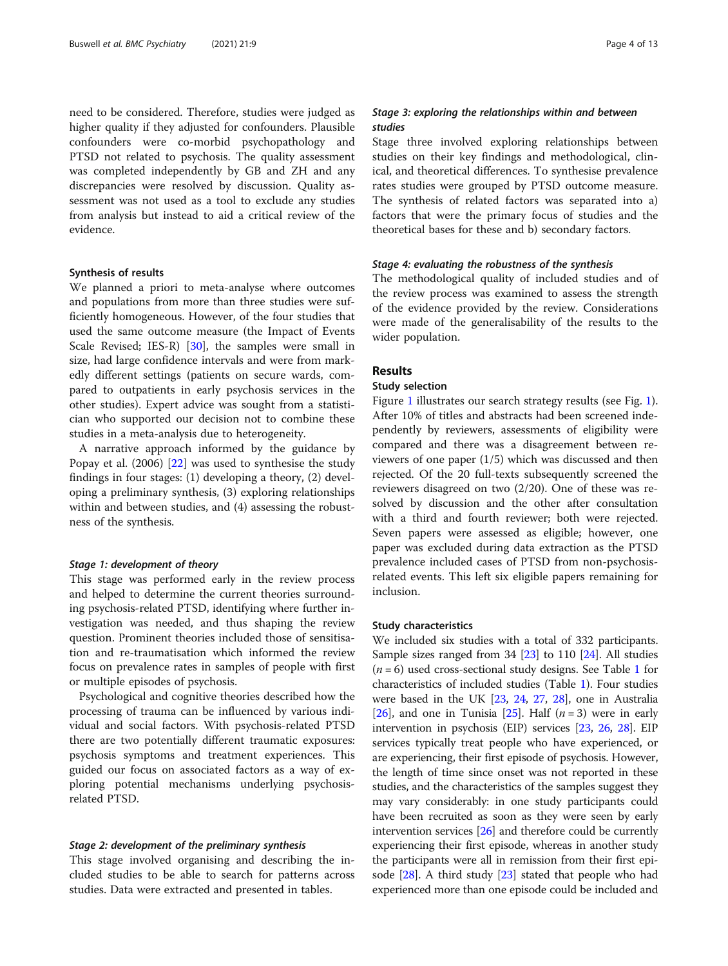need to be considered. Therefore, studies were judged as higher quality if they adjusted for confounders. Plausible confounders were co-morbid psychopathology and PTSD not related to psychosis. The quality assessment was completed independently by GB and ZH and any discrepancies were resolved by discussion. Quality assessment was not used as a tool to exclude any studies from analysis but instead to aid a critical review of the evidence.

#### Synthesis of results

We planned a priori to meta-analyse where outcomes and populations from more than three studies were sufficiently homogeneous. However, of the four studies that used the same outcome measure (the Impact of Events Scale Revised; IES-R) [[30](#page-12-0)], the samples were small in size, had large confidence intervals and were from markedly different settings (patients on secure wards, compared to outpatients in early psychosis services in the other studies). Expert advice was sought from a statistician who supported our decision not to combine these studies in a meta-analysis due to heterogeneity.

A narrative approach informed by the guidance by Popay et al. (2006) [\[22](#page-12-0)] was used to synthesise the study findings in four stages: (1) developing a theory, (2) developing a preliminary synthesis, (3) exploring relationships within and between studies, and (4) assessing the robustness of the synthesis.

#### Stage 1: development of theory

This stage was performed early in the review process and helped to determine the current theories surrounding psychosis-related PTSD, identifying where further investigation was needed, and thus shaping the review question. Prominent theories included those of sensitisation and re-traumatisation which informed the review focus on prevalence rates in samples of people with first or multiple episodes of psychosis.

Psychological and cognitive theories described how the processing of trauma can be influenced by various individual and social factors. With psychosis-related PTSD there are two potentially different traumatic exposures: psychosis symptoms and treatment experiences. This guided our focus on associated factors as a way of exploring potential mechanisms underlying psychosisrelated PTSD.

#### Stage 2: development of the preliminary synthesis

This stage involved organising and describing the included studies to be able to search for patterns across studies. Data were extracted and presented in tables.

# Stage 3: exploring the relationships within and between studies

Stage three involved exploring relationships between studies on their key findings and methodological, clinical, and theoretical differences. To synthesise prevalence rates studies were grouped by PTSD outcome measure. The synthesis of related factors was separated into a) factors that were the primary focus of studies and the theoretical bases for these and b) secondary factors.

# Stage 4: evaluating the robustness of the synthesis

The methodological quality of included studies and of the review process was examined to assess the strength of the evidence provided by the review. Considerations were made of the generalisability of the results to the wider population.

# Results

# Study selection

Figure [1](#page-4-0) illustrates our search strategy results (see Fig. [1](#page-4-0)). After 10% of titles and abstracts had been screened independently by reviewers, assessments of eligibility were compared and there was a disagreement between reviewers of one paper (1/5) which was discussed and then rejected. Of the 20 full-texts subsequently screened the reviewers disagreed on two (2/20). One of these was resolved by discussion and the other after consultation with a third and fourth reviewer; both were rejected. Seven papers were assessed as eligible; however, one paper was excluded during data extraction as the PTSD prevalence included cases of PTSD from non-psychosisrelated events. This left six eligible papers remaining for inclusion.

# Study characteristics

We included six studies with a total of 332 participants. Sample sizes ranged from 34 [[23\]](#page-12-0) to 110 [\[24](#page-12-0)]. All studies  $(n = 6)$  used cross-sectional study designs. See Table [1](#page-4-0) for characteristics of included studies (Table [1\)](#page-4-0). Four studies were based in the UK [[23](#page-12-0), [24](#page-12-0), [27](#page-12-0), [28](#page-12-0)], one in Australia [[26](#page-12-0)], and one in Tunisia [\[25\]](#page-12-0). Half  $(n = 3)$  were in early intervention in psychosis (EIP) services [[23](#page-12-0), [26](#page-12-0), [28](#page-12-0)]. EIP services typically treat people who have experienced, or are experiencing, their first episode of psychosis. However, the length of time since onset was not reported in these studies, and the characteristics of the samples suggest they may vary considerably: in one study participants could have been recruited as soon as they were seen by early intervention services [\[26\]](#page-12-0) and therefore could be currently experiencing their first episode, whereas in another study the participants were all in remission from their first episode  $[28]$  $[28]$  $[28]$ . A third study  $[23]$  stated that people who had experienced more than one episode could be included and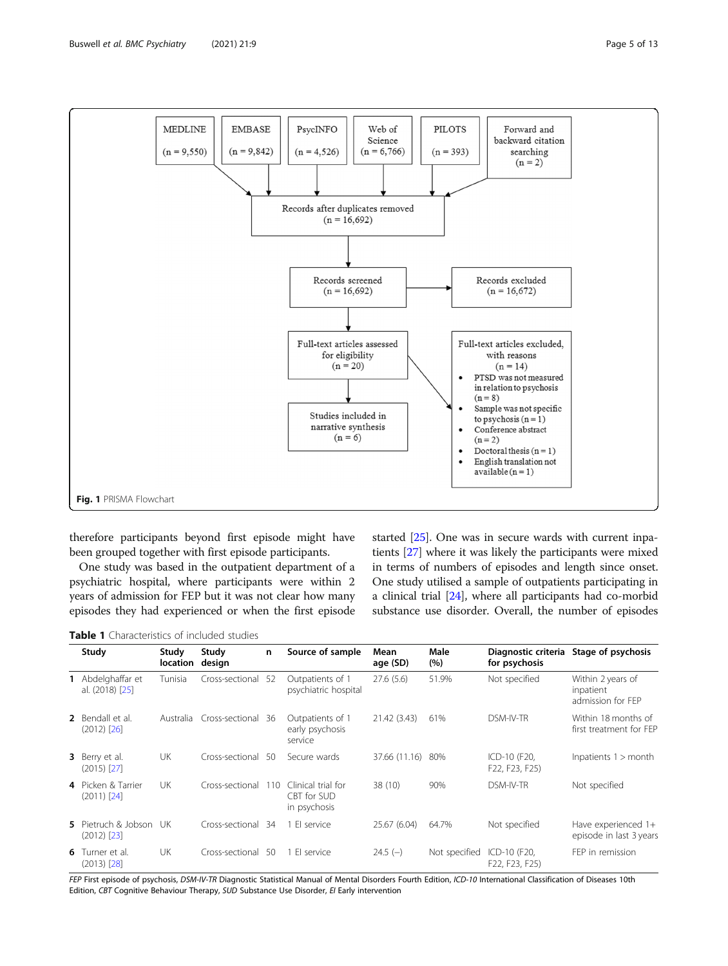<span id="page-4-0"></span>

therefore participants beyond first episode might have been grouped together with first episode participants.

One study was based in the outpatient department of a psychiatric hospital, where participants were within 2 years of admission for FEP but it was not clear how many episodes they had experienced or when the first episode

started [[25](#page-12-0)]. One was in secure wards with current inpatients [[27](#page-12-0)] where it was likely the participants were mixed in terms of numbers of episodes and length since onset. One study utilised a sample of outpatients participating in a clinical trial [[24](#page-12-0)], where all participants had co-morbid substance use disorder. Overall, the number of episodes

Table 1 Characteristics of included studies

| Study                                   | Study<br>location | Study<br>design | n    | Source of sample                                  | Mean<br>age (SD) | Male<br>(%)   | Diagnostic criteria<br>for psychosis | Stage of psychosis                                  |
|-----------------------------------------|-------------------|-----------------|------|---------------------------------------------------|------------------|---------------|--------------------------------------|-----------------------------------------------------|
| Abdelghaffar et<br>al. (2018) [25]      | Tunisia           | Cross-sectional | 52   | Outpatients of 1<br>psychiatric hospital          | 27.6(5.6)        | 51.9%         | Not specified                        | Within 2 years of<br>inpatient<br>admission for FEP |
| 2 Bendall et al.<br>$(2012)$ $[26]$     | Australia         | Cross-sectional | 36   | Outpatients of 1<br>early psychosis<br>service    | 21.42 (3.43)     | 61%           | DSM-IV-TR                            | Within 18 months of<br>first treatment for FFP      |
| <b>3</b> Berry et al.<br>$(2015)$ [27]  | UK                | Cross-sectional | 50   | Secure wards                                      | 37.66 (11.16)    | 80%           | ICD-10 (F20,<br>F22, F23, F25)       | Inpatients $1 >$ month                              |
| 4 Picken & Tarrier<br>$(2011)$ $[24]$   | UK                | Cross-sectional | 110  | Clinical trial for<br>CBT for SUD<br>in psychosis | 38 (10)          | 90%           | DSM-IV-TR                            | Not specified                                       |
| 5 Pietruch & Jobson<br>$(2012)$ $[23]$  | - UK              | Cross-sectional | - 34 | 1 El service                                      | 25.67 (6.04)     | 64.7%         | Not specified                        | Have experienced 1+<br>episode in last 3 years      |
| <b>6</b> Turner et al.<br>$(2013)$ [28] | UK                | Cross-sectional | -50  | 1 El service                                      | $24.5(-)$        | Not specified | ICD-10 (F20,<br>F22, F23, F25)       | FEP in remission                                    |

FEP First episode of psychosis, DSM-IV-TR Diagnostic Statistical Manual of Mental Disorders Fourth Edition, ICD-10 International Classification of Diseases 10th Edition, CBT Cognitive Behaviour Therapy, SUD Substance Use Disorder, EI Early intervention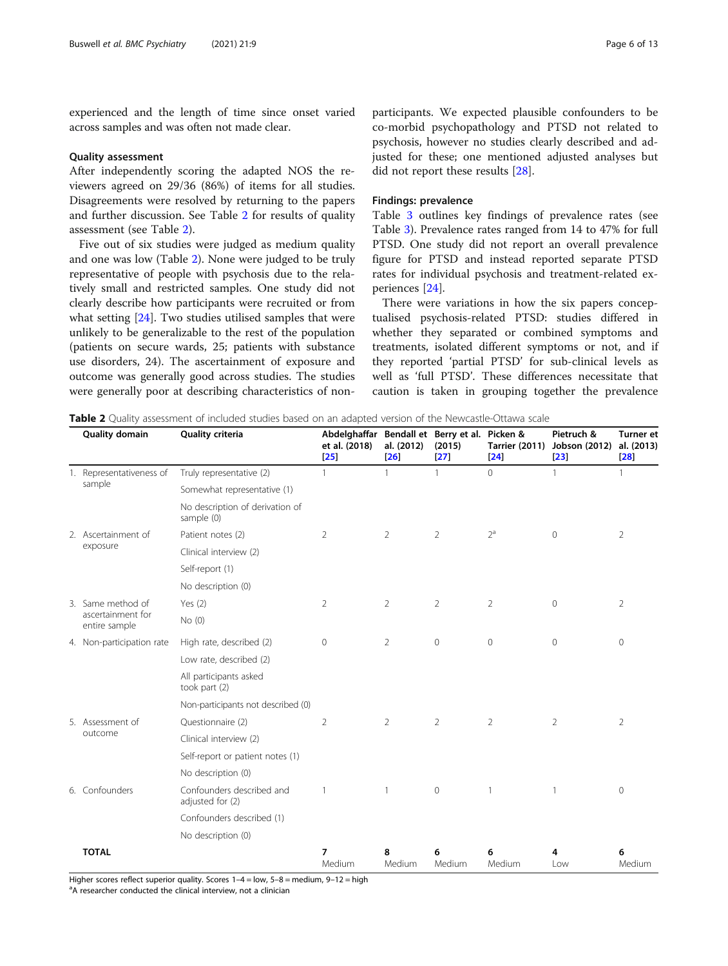experienced and the length of time since onset varied across samples and was often not made clear.

#### Quality assessment

After independently scoring the adapted NOS the reviewers agreed on 29/36 (86%) of items for all studies. Disagreements were resolved by returning to the papers and further discussion. See Table 2 for results of quality assessment (see Table 2).

Five out of six studies were judged as medium quality and one was low (Table 2). None were judged to be truly representative of people with psychosis due to the relatively small and restricted samples. One study did not clearly describe how participants were recruited or from what setting [[24\]](#page-12-0). Two studies utilised samples that were unlikely to be generalizable to the rest of the population (patients on secure wards, 25; patients with substance use disorders, 24). The ascertainment of exposure and outcome was generally good across studies. The studies were generally poor at describing characteristics of non-

participants. We expected plausible confounders to be co-morbid psychopathology and PTSD not related to psychosis, however no studies clearly described and adjusted for these; one mentioned adjusted analyses but did not report these results [\[28](#page-12-0)].

# Findings: prevalence

Table [3](#page-6-0) outlines key findings of prevalence rates (see Table [3\)](#page-6-0). Prevalence rates ranged from 14 to 47% for full PTSD. One study did not report an overall prevalence figure for PTSD and instead reported separate PTSD rates for individual psychosis and treatment-related experiences [\[24\]](#page-12-0).

There were variations in how the six papers conceptualised psychosis-related PTSD: studies differed in whether they separated or combined symptoms and treatments, isolated different symptoms or not, and if they reported 'partial PTSD' for sub-clinical levels as well as 'full PTSD'. These differences necessitate that caution is taken in grouping together the prevalence

Table 2 Quality assessment of included studies based on an adapted version of the Newcastle-Ottawa scale

|  | Quality domain                                                  | Quality criteria                              | Abdelghaffar Bendall et Berry et al. Picken &<br>et al. (2018)<br>$\sqrt{25}$ | al. (2012)<br>[26] | (2015)<br>$[27]$ | <b>Tarrier (2011)</b><br>$\left  \frac{24}{2} \right $ | Pietruch &<br>Jobson (2012)<br>[23] | <b>Turner</b> et<br>al. (2013)<br>[28] |
|--|-----------------------------------------------------------------|-----------------------------------------------|-------------------------------------------------------------------------------|--------------------|------------------|--------------------------------------------------------|-------------------------------------|----------------------------------------|
|  | 1. Representativeness of                                        | Truly representative (2)                      | 1                                                                             | $\mathbf{1}$       | $\mathbf{1}$     | $\Omega$                                               | $\mathbf{1}$                        | 1                                      |
|  | sample                                                          | Somewhat representative (1)                   |                                                                               |                    |                  |                                                        |                                     |                                        |
|  |                                                                 | No description of derivation of<br>sample (0) |                                                                               |                    |                  |                                                        |                                     |                                        |
|  | 2. Ascertainment of                                             | Patient notes (2)                             | 2                                                                             | 2                  | $\overline{2}$   | $2^a$                                                  | $\mathbf{0}$                        | $\overline{2}$                         |
|  | exposure                                                        | Clinical interview (2)                        |                                                                               |                    |                  |                                                        |                                     |                                        |
|  |                                                                 | Self-report (1)                               |                                                                               |                    |                  |                                                        |                                     |                                        |
|  |                                                                 | No description (0)                            |                                                                               |                    |                  |                                                        |                                     |                                        |
|  | 3. Same method of                                               | Yes $(2)$                                     | $\overline{2}$                                                                | $\overline{2}$     | $\overline{2}$   | $\overline{2}$                                         | $\circ$                             | $\overline{2}$                         |
|  | ascertainment for<br>entire sample                              | No(0)                                         |                                                                               |                    |                  |                                                        |                                     |                                        |
|  | 4. Non-participation rate                                       | High rate, described (2)                      | $\mathbf{0}$                                                                  | 2                  | $\mathbf{0}$     | 0                                                      | $\circ$                             | 0                                      |
|  |                                                                 | Low rate, described (2)                       |                                                                               |                    |                  |                                                        |                                     |                                        |
|  |                                                                 | All participants asked<br>took part (2)       |                                                                               |                    |                  |                                                        |                                     |                                        |
|  |                                                                 | Non-participants not described (0)            |                                                                               |                    |                  |                                                        |                                     |                                        |
|  | 5. Assessment of                                                | Questionnaire (2)                             | $\overline{2}$                                                                | 2                  | 2                | $\overline{2}$                                         | $\overline{2}$                      | $\overline{2}$                         |
|  | outcome                                                         | Clinical interview (2)                        |                                                                               |                    |                  |                                                        |                                     |                                        |
|  |                                                                 | Self-report or patient notes (1)              |                                                                               |                    |                  |                                                        |                                     |                                        |
|  |                                                                 | No description (0)                            |                                                                               |                    |                  |                                                        |                                     |                                        |
|  | 6. Confounders<br>Confounders described and<br>adjusted for (2) |                                               | $\mathbf{1}$                                                                  | $\mathbf{1}$       | $\circ$          | 1                                                      | $\mathbf{1}$                        | 0                                      |
|  |                                                                 | Confounders described (1)                     |                                                                               |                    |                  |                                                        |                                     |                                        |
|  |                                                                 | No description (0)                            |                                                                               |                    |                  |                                                        |                                     |                                        |
|  | <b>TOTAL</b>                                                    |                                               | 7<br>Medium                                                                   | 8<br>Medium        | 6<br>Medium      | 6<br>Medium                                            | 4<br>l ow                           | 6<br>Medium                            |

Higher scores reflect superior quality. Scores  $1-4 =$  low,  $5-8 =$  medium,  $9-12 =$  high

<sup>a</sup>A researcher conducted the clinical interview, not a clinician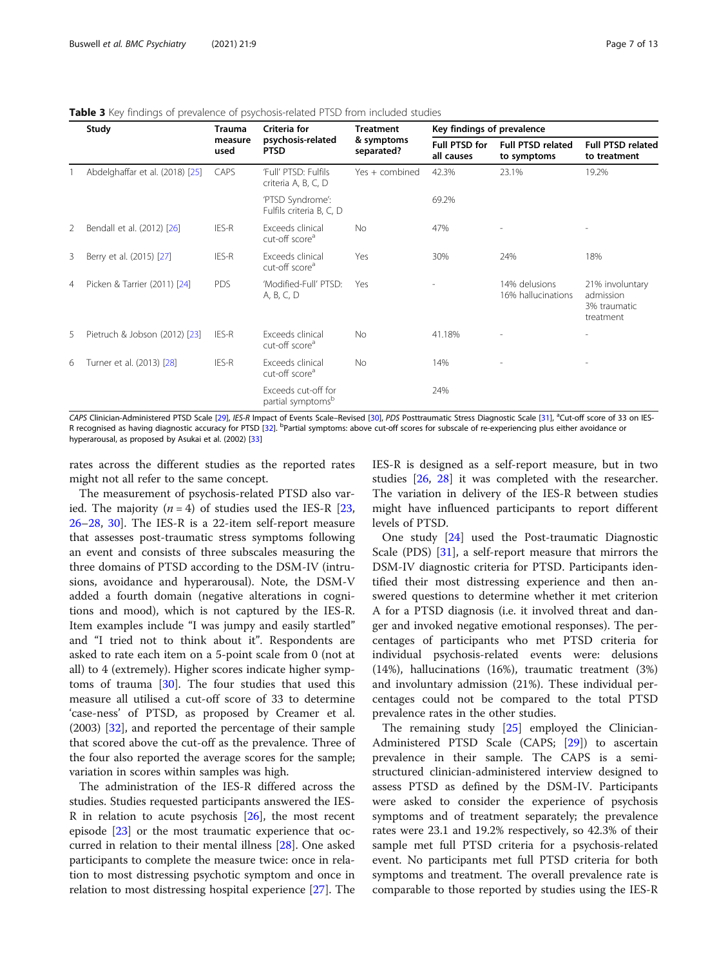|   | Study                           | Trauma<br>measure<br>used | Criteria for<br>psychosis-related<br><b>PTSD</b>     | <b>Treatment</b><br>& symptoms<br>separated? | Key findings of prevalence  |                                         |                                                           |  |
|---|---------------------------------|---------------------------|------------------------------------------------------|----------------------------------------------|-----------------------------|-----------------------------------------|-----------------------------------------------------------|--|
|   |                                 |                           |                                                      |                                              | Full PTSD for<br>all causes | <b>Full PTSD related</b><br>to symptoms | <b>Full PTSD related</b><br>to treatment                  |  |
|   | Abdelghaffar et al. (2018) [25] | <b>CAPS</b>               | 'Full' PTSD: Fulfils<br>criteria A, B, C, D          | Yes + combined                               | 42.3%                       | 23.1%                                   | 19.2%                                                     |  |
|   |                                 |                           | 'PTSD Syndrome':<br>Fulfils criteria B, C, D         |                                              | 69.2%                       |                                         |                                                           |  |
| 2 | Bendall et al. (2012) [26]      | IES-R                     | Exceeds clinical<br>cut-off score <sup>a</sup>       | <b>No</b>                                    | 47%                         |                                         |                                                           |  |
| 3 | Berry et al. (2015) [27]        | IES-R                     | Exceeds clinical<br>cut-off score <sup>a</sup>       | Yes                                          | 30%                         | 24%                                     | 18%                                                       |  |
| 4 | Picken & Tarrier (2011) [24]    | <b>PDS</b>                | 'Modified-Full' PTSD:<br>A, B, C, D                  | Yes                                          |                             | 14% delusions<br>16% hallucinations     | 21% involuntary<br>admission<br>3% traumatic<br>treatment |  |
| 5 | Pietruch & Jobson (2012) [23]   | IES-R                     | Exceeds clinical<br>cut-off score <sup>a</sup>       | <b>No</b>                                    | 41.18%                      |                                         |                                                           |  |
| 6 | Turner et al. (2013) [28]       | IES-R                     | Exceeds clinical<br>cut-off score <sup>a</sup>       | <b>No</b>                                    | 14%                         |                                         | $\overline{\phantom{a}}$                                  |  |
|   |                                 |                           | Exceeds cut-off for<br>partial symptoms <sup>b</sup> |                                              | 24%                         |                                         |                                                           |  |

### <span id="page-6-0"></span>Table 3 Key findings of prevalence of psychosis-related PTSD from included studies

CAPS Clinician-Administered PTSD Scale [\[29](#page-12-0)], IES-R Impact of Events Scale–Revised [\[30](#page-12-0)], PDS Posttraumatic Stress Diagnostic Scale [[31](#page-12-0)], <sup>a</sup>Cut-off score of 33 on IES-R recognised as having diagnostic accuracy for PTSD [[32\]](#page-12-0). <sup>b</sup>Partial symptoms: above cut-off scores for subscale of re-experiencing plus either avoidance or hyperarousal, as proposed by Asukai et al. (2002) [\[33\]](#page-12-0)

rates across the different studies as the reported rates might not all refer to the same concept.

The measurement of psychosis-related PTSD also varied. The majority  $(n = 4)$  of studies used the IES-R [[23](#page-12-0), [26](#page-12-0)–[28](#page-12-0), [30](#page-12-0)]. The IES-R is a 22-item self-report measure that assesses post-traumatic stress symptoms following an event and consists of three subscales measuring the three domains of PTSD according to the DSM-IV (intrusions, avoidance and hyperarousal). Note, the DSM-V added a fourth domain (negative alterations in cognitions and mood), which is not captured by the IES-R. Item examples include "I was jumpy and easily startled" and "I tried not to think about it". Respondents are asked to rate each item on a 5-point scale from 0 (not at all) to 4 (extremely). Higher scores indicate higher symptoms of trauma [[30\]](#page-12-0). The four studies that used this measure all utilised a cut-off score of 33 to determine 'case-ness' of PTSD, as proposed by Creamer et al. (2003) [\[32](#page-12-0)], and reported the percentage of their sample that scored above the cut-off as the prevalence. Three of the four also reported the average scores for the sample; variation in scores within samples was high.

The administration of the IES-R differed across the studies. Studies requested participants answered the IES-R in relation to acute psychosis  $[26]$  $[26]$ , the most recent episode [[23](#page-12-0)] or the most traumatic experience that occurred in relation to their mental illness [[28\]](#page-12-0). One asked participants to complete the measure twice: once in relation to most distressing psychotic symptom and once in relation to most distressing hospital experience [\[27](#page-12-0)]. The IES-R is designed as a self-report measure, but in two studies [[26,](#page-12-0) [28\]](#page-12-0) it was completed with the researcher. The variation in delivery of the IES-R between studies might have influenced participants to report different levels of PTSD.

One study [[24\]](#page-12-0) used the Post-traumatic Diagnostic Scale (PDS) [\[31](#page-12-0)], a self-report measure that mirrors the DSM-IV diagnostic criteria for PTSD. Participants identified their most distressing experience and then answered questions to determine whether it met criterion A for a PTSD diagnosis (i.e. it involved threat and danger and invoked negative emotional responses). The percentages of participants who met PTSD criteria for individual psychosis-related events were: delusions (14%), hallucinations (16%), traumatic treatment (3%) and involuntary admission (21%). These individual percentages could not be compared to the total PTSD prevalence rates in the other studies.

The remaining study [\[25](#page-12-0)] employed the Clinician-Administered PTSD Scale (CAPS; [[29](#page-12-0)]) to ascertain prevalence in their sample. The CAPS is a semistructured clinician-administered interview designed to assess PTSD as defined by the DSM-IV. Participants were asked to consider the experience of psychosis symptoms and of treatment separately; the prevalence rates were 23.1 and 19.2% respectively, so 42.3% of their sample met full PTSD criteria for a psychosis-related event. No participants met full PTSD criteria for both symptoms and treatment. The overall prevalence rate is comparable to those reported by studies using the IES-R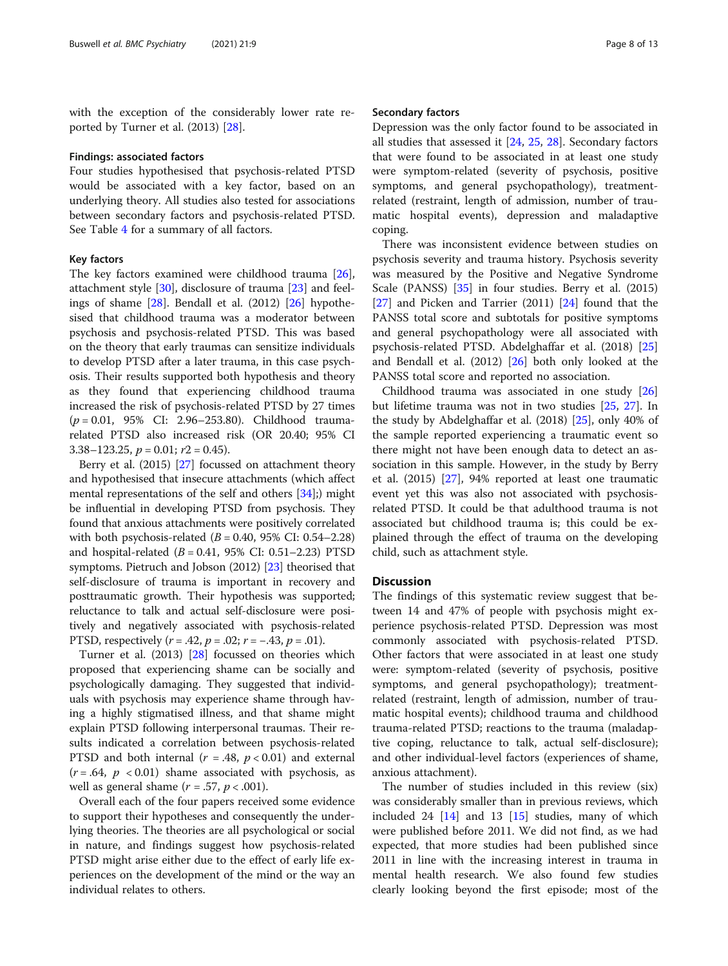with the exception of the considerably lower rate reported by Turner et al. (2013) [\[28](#page-12-0)].

#### Findings: associated factors

Four studies hypothesised that psychosis-related PTSD would be associated with a key factor, based on an underlying theory. All studies also tested for associations between secondary factors and psychosis-related PTSD. See Table [4](#page-8-0) for a summary of all factors.

#### Key factors

The key factors examined were childhood trauma [\[26](#page-12-0)], attachment style [\[30](#page-12-0)], disclosure of trauma [[23](#page-12-0)] and feelings of shame [\[28](#page-12-0)]. Bendall et al. (2012) [[26\]](#page-12-0) hypothesised that childhood trauma was a moderator between psychosis and psychosis-related PTSD. This was based on the theory that early traumas can sensitize individuals to develop PTSD after a later trauma, in this case psychosis. Their results supported both hypothesis and theory as they found that experiencing childhood trauma increased the risk of psychosis-related PTSD by 27 times (p = 0.01, 95% CI: 2.96–253.80). Childhood traumarelated PTSD also increased risk (OR 20.40; 95% CI 3.38–123.25,  $p = 0.01$ ;  $r2 = 0.45$ ).

Berry et al. (2015) [[27](#page-12-0)] focussed on attachment theory and hypothesised that insecure attachments (which affect mental representations of the self and others [[34](#page-12-0)];) might be influential in developing PTSD from psychosis. They found that anxious attachments were positively correlated with both psychosis-related  $(B = 0.40, 95\% \text{ CI: } 0.54 - 2.28)$ and hospital-related  $(B = 0.41, 95\% \text{ CI: } 0.51 - 2.23) \text{ PTSD}$ symptoms. Pietruch and Jobson (2012) [\[23\]](#page-12-0) theorised that self-disclosure of trauma is important in recovery and posttraumatic growth. Their hypothesis was supported; reluctance to talk and actual self-disclosure were positively and negatively associated with psychosis-related PTSD, respectively  $(r = .42, p = .02; r = -.43, p = .01)$ .

Turner et al. (2013) [\[28](#page-12-0)] focussed on theories which proposed that experiencing shame can be socially and psychologically damaging. They suggested that individuals with psychosis may experience shame through having a highly stigmatised illness, and that shame might explain PTSD following interpersonal traumas. Their results indicated a correlation between psychosis-related PTSD and both internal ( $r = .48$ ,  $p < 0.01$ ) and external  $(r = .64, p < 0.01)$  shame associated with psychosis, as well as general shame  $(r = .57, p < .001)$ .

Overall each of the four papers received some evidence to support their hypotheses and consequently the underlying theories. The theories are all psychological or social in nature, and findings suggest how psychosis-related PTSD might arise either due to the effect of early life experiences on the development of the mind or the way an individual relates to others.

#### Secondary factors

Depression was the only factor found to be associated in all studies that assessed it [\[24,](#page-12-0) [25](#page-12-0), [28](#page-12-0)]. Secondary factors that were found to be associated in at least one study were symptom-related (severity of psychosis, positive symptoms, and general psychopathology), treatmentrelated (restraint, length of admission, number of traumatic hospital events), depression and maladaptive coping.

There was inconsistent evidence between studies on psychosis severity and trauma history. Psychosis severity was measured by the Positive and Negative Syndrome Scale (PANSS) [[35\]](#page-12-0) in four studies. Berry et al. (2015) [[27\]](#page-12-0) and Picken and Tarrier (2011) [[24](#page-12-0)] found that the PANSS total score and subtotals for positive symptoms and general psychopathology were all associated with psychosis-related PTSD. Abdelghaffar et al. (2018) [[25](#page-12-0)] and Bendall et al. (2012) [[26\]](#page-12-0) both only looked at the PANSS total score and reported no association.

Childhood trauma was associated in one study [[26](#page-12-0)] but lifetime trauma was not in two studies [[25](#page-12-0), [27](#page-12-0)]. In the study by Abdelghaffar et al. (2018) [\[25\]](#page-12-0), only 40% of the sample reported experiencing a traumatic event so there might not have been enough data to detect an association in this sample. However, in the study by Berry et al. (2015) [\[27](#page-12-0)], 94% reported at least one traumatic event yet this was also not associated with psychosisrelated PTSD. It could be that adulthood trauma is not associated but childhood trauma is; this could be explained through the effect of trauma on the developing child, such as attachment style.

# **Discussion**

The findings of this systematic review suggest that between 14 and 47% of people with psychosis might experience psychosis-related PTSD. Depression was most commonly associated with psychosis-related PTSD. Other factors that were associated in at least one study were: symptom-related (severity of psychosis, positive symptoms, and general psychopathology); treatmentrelated (restraint, length of admission, number of traumatic hospital events); childhood trauma and childhood trauma-related PTSD; reactions to the trauma (maladaptive coping, reluctance to talk, actual self-disclosure); and other individual-level factors (experiences of shame, anxious attachment).

The number of studies included in this review (six) was considerably smaller than in previous reviews, which included 24  $[14]$  and 13  $[15]$  $[15]$  studies, many of which were published before 2011. We did not find, as we had expected, that more studies had been published since 2011 in line with the increasing interest in trauma in mental health research. We also found few studies clearly looking beyond the first episode; most of the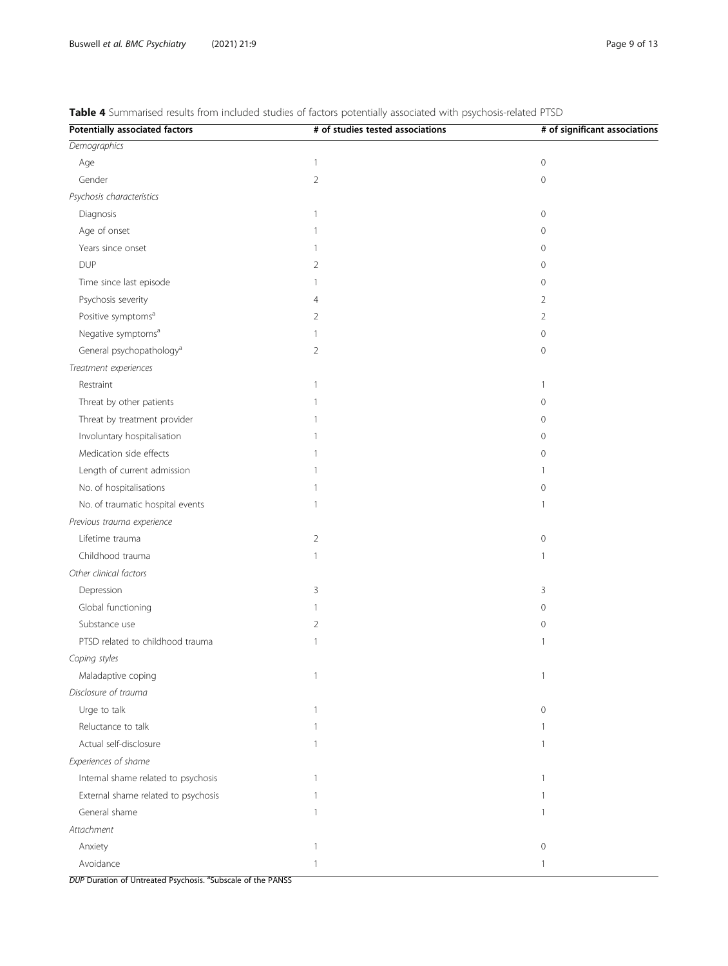| <b>Potentially associated factors</b> | # of studies tested associations | # of significant associations |
|---------------------------------------|----------------------------------|-------------------------------|
| Demographics                          |                                  |                               |
| Age                                   | $\overline{1}$                   | $\mathsf{O}\xspace$           |
| Gender                                | $\overline{2}$                   | $\mathsf{O}\xspace$           |
| Psychosis characteristics             |                                  |                               |
| Diagnosis                             | $\mathbf{1}$                     | $\mathbf 0$                   |
| Age of onset                          | $\mathbf{1}$                     | $\mathbf 0$                   |
| Years since onset                     | $\mathbf{1}$                     | $\mathbf 0$                   |
| <b>DUP</b>                            | $\overline{2}$                   | $\mathbf 0$                   |
| Time since last episode               | 1                                | $\mathbf 0$                   |
| Psychosis severity                    | 4                                | $\overline{2}$                |
| Positive symptoms <sup>a</sup>        | $\overline{2}$                   | $\overline{2}$                |
| Negative symptoms <sup>a</sup>        | 1                                | $\mathbf 0$                   |
| General psychopathology <sup>a</sup>  | $\overline{2}$                   | $\mathsf{O}\xspace$           |
| Treatment experiences                 |                                  |                               |
| Restraint                             | $\mathbf{1}$                     | $\mathbf{1}$                  |
| Threat by other patients              | $\mathbf{1}$                     | $\mathbf 0$                   |
| Threat by treatment provider          | $\mathbf{1}$                     | $\mathbf 0$                   |
| Involuntary hospitalisation           | 1                                | $\mathbf{0}$                  |
| Medication side effects               | $\mathbf{1}$                     | $\mathbf 0$                   |
| Length of current admission           | $\mathbf{1}$                     | 1                             |
| No. of hospitalisations               | 1                                | $\mathbf 0$                   |
| No. of traumatic hospital events      | $\mathbf{1}$                     | 1                             |
| Previous trauma experience            |                                  |                               |
| Lifetime trauma                       | $\overline{2}$                   | $\mathbf 0$                   |
| Childhood trauma                      | $\mathbf{1}$                     | $\mathbf{1}$                  |
| Other clinical factors                |                                  |                               |
| Depression                            | 3                                | 3                             |
| Global functioning                    | $\mathbf{1}$                     | $\mathbf 0$                   |
| Substance use                         | $\overline{2}$                   | $\mathbf 0$                   |
| PTSD related to childhood trauma      | $\mathbf{1}$                     | 1                             |
| Coping styles                         |                                  |                               |
| Maladaptive coping                    | $\mathbf{1}$                     | $\mathbf{1}$                  |
| Disclosure of trauma                  |                                  |                               |
| Urge to talk                          | $\mathbf{1}$                     | $\mathbf 0$                   |
| Reluctance to talk                    | $\mathbf{1}$                     | 1                             |
| Actual self-disclosure                | 1                                | $\mathbf{1}$                  |
| Experiences of shame                  |                                  |                               |
| Internal shame related to psychosis   | 1                                | 1                             |
| External shame related to psychosis   | 1                                | 1                             |
| General shame                         | $\mathbf{1}$                     | 1                             |
| Attachment                            |                                  |                               |
| Anxiety                               | $\mathbf{1}$                     | $\mathbf 0$                   |
| Avoidance                             | $\mathbf{1}$                     | 1                             |

# <span id="page-8-0"></span>Table 4 Summarised results from included studies of factors potentially associated with psychosis-related PTSD

DUP Duration of Untreated Psychosis. <sup>a</sup>Subscale of the PANSS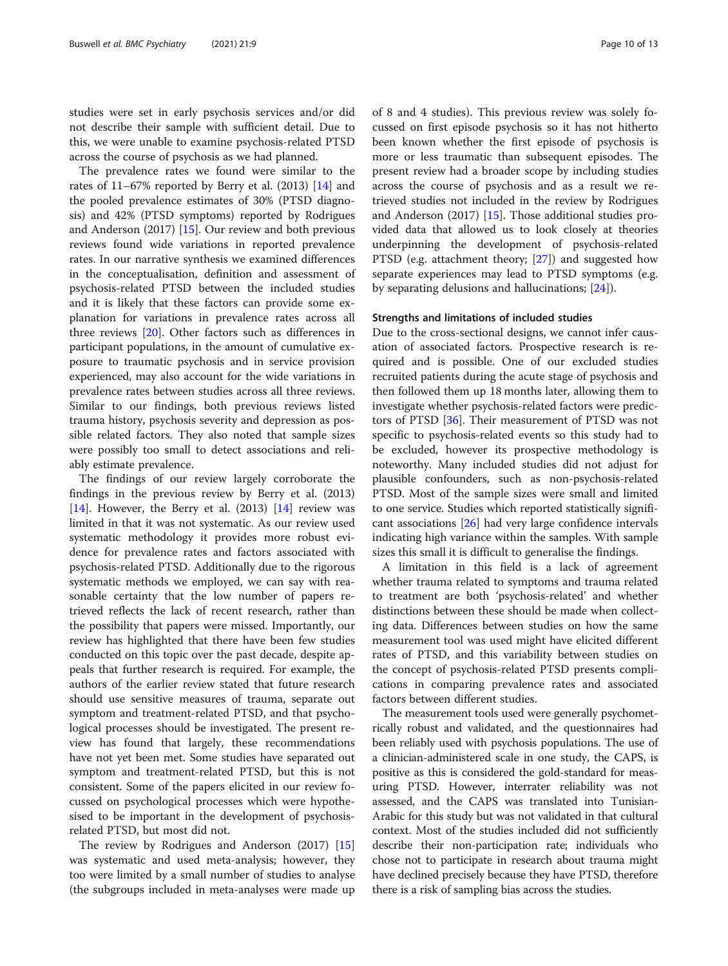studies were set in early psychosis services and/or did not describe their sample with sufficient detail. Due to this, we were unable to examine psychosis-related PTSD across the course of psychosis as we had planned.

The prevalence rates we found were similar to the rates of  $11-67\%$  reported by Berry et al. (2013) [\[14\]](#page-12-0) and the pooled prevalence estimates of 30% (PTSD diagnosis) and 42% (PTSD symptoms) reported by Rodrigues and Anderson (2017) [[15](#page-12-0)]. Our review and both previous reviews found wide variations in reported prevalence rates. In our narrative synthesis we examined differences in the conceptualisation, definition and assessment of psychosis-related PTSD between the included studies and it is likely that these factors can provide some explanation for variations in prevalence rates across all three reviews [\[20](#page-12-0)]. Other factors such as differences in participant populations, in the amount of cumulative exposure to traumatic psychosis and in service provision experienced, may also account for the wide variations in prevalence rates between studies across all three reviews. Similar to our findings, both previous reviews listed trauma history, psychosis severity and depression as possible related factors. They also noted that sample sizes were possibly too small to detect associations and reliably estimate prevalence.

The findings of our review largely corroborate the findings in the previous review by Berry et al. (2013) [[14\]](#page-12-0). However, the Berry et al.  $(2013)$  [14] review was limited in that it was not systematic. As our review used systematic methodology it provides more robust evidence for prevalence rates and factors associated with psychosis-related PTSD. Additionally due to the rigorous systematic methods we employed, we can say with reasonable certainty that the low number of papers retrieved reflects the lack of recent research, rather than the possibility that papers were missed. Importantly, our review has highlighted that there have been few studies conducted on this topic over the past decade, despite appeals that further research is required. For example, the authors of the earlier review stated that future research should use sensitive measures of trauma, separate out symptom and treatment-related PTSD, and that psychological processes should be investigated. The present review has found that largely, these recommendations have not yet been met. Some studies have separated out symptom and treatment-related PTSD, but this is not consistent. Some of the papers elicited in our review focussed on psychological processes which were hypothesised to be important in the development of psychosisrelated PTSD, but most did not.

The review by Rodrigues and Anderson (2017) [[15](#page-12-0)] was systematic and used meta-analysis; however, they too were limited by a small number of studies to analyse (the subgroups included in meta-analyses were made up of 8 and 4 studies). This previous review was solely focussed on first episode psychosis so it has not hitherto been known whether the first episode of psychosis is more or less traumatic than subsequent episodes. The present review had a broader scope by including studies across the course of psychosis and as a result we retrieved studies not included in the review by Rodrigues and Anderson (2017) [[15\]](#page-12-0). Those additional studies provided data that allowed us to look closely at theories underpinning the development of psychosis-related PTSD (e.g. attachment theory; [[27\]](#page-12-0)) and suggested how separate experiences may lead to PTSD symptoms (e.g. by separating delusions and hallucinations; [\[24\]](#page-12-0)).

#### Strengths and limitations of included studies

Due to the cross-sectional designs, we cannot infer causation of associated factors. Prospective research is required and is possible. One of our excluded studies recruited patients during the acute stage of psychosis and then followed them up 18 months later, allowing them to investigate whether psychosis-related factors were predictors of PTSD [\[36](#page-12-0)]. Their measurement of PTSD was not specific to psychosis-related events so this study had to be excluded, however its prospective methodology is noteworthy. Many included studies did not adjust for plausible confounders, such as non-psychosis-related PTSD. Most of the sample sizes were small and limited to one service. Studies which reported statistically significant associations [[26\]](#page-12-0) had very large confidence intervals indicating high variance within the samples. With sample sizes this small it is difficult to generalise the findings.

A limitation in this field is a lack of agreement whether trauma related to symptoms and trauma related to treatment are both 'psychosis-related' and whether distinctions between these should be made when collecting data. Differences between studies on how the same measurement tool was used might have elicited different rates of PTSD, and this variability between studies on the concept of psychosis-related PTSD presents complications in comparing prevalence rates and associated factors between different studies.

The measurement tools used were generally psychometrically robust and validated, and the questionnaires had been reliably used with psychosis populations. The use of a clinician-administered scale in one study, the CAPS, is positive as this is considered the gold-standard for measuring PTSD. However, interrater reliability was not assessed, and the CAPS was translated into Tunisian-Arabic for this study but was not validated in that cultural context. Most of the studies included did not sufficiently describe their non-participation rate; individuals who chose not to participate in research about trauma might have declined precisely because they have PTSD, therefore there is a risk of sampling bias across the studies.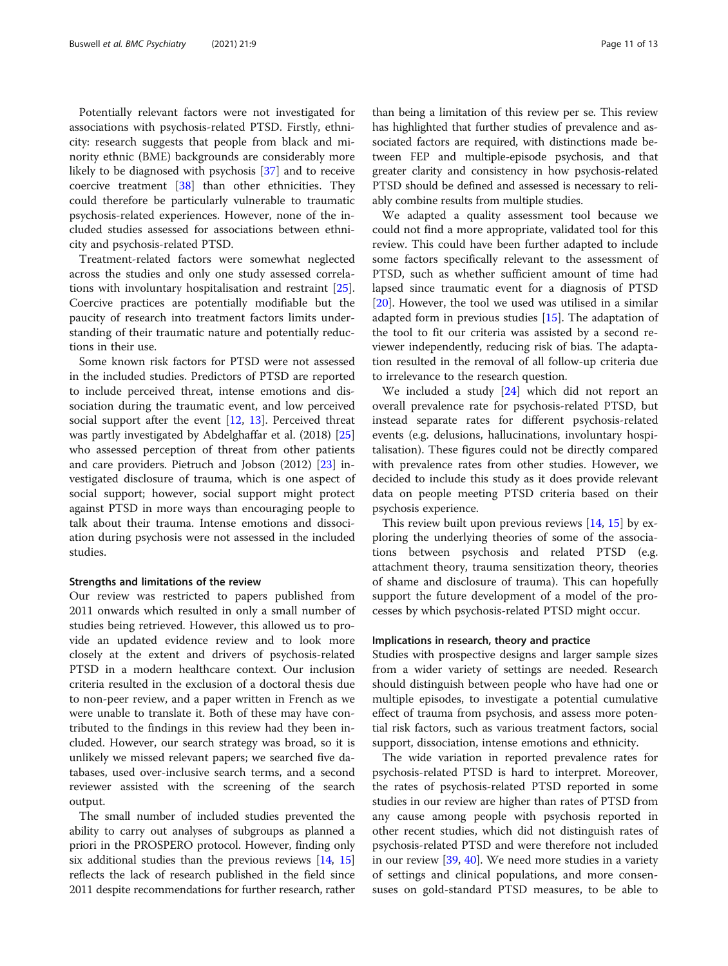Potentially relevant factors were not investigated for associations with psychosis-related PTSD. Firstly, ethnicity: research suggests that people from black and minority ethnic (BME) backgrounds are considerably more likely to be diagnosed with psychosis [[37\]](#page-12-0) and to receive coercive treatment [[38](#page-12-0)] than other ethnicities. They could therefore be particularly vulnerable to traumatic psychosis-related experiences. However, none of the included studies assessed for associations between ethnicity and psychosis-related PTSD.

Treatment-related factors were somewhat neglected across the studies and only one study assessed correlations with involuntary hospitalisation and restraint [\[25](#page-12-0)]. Coercive practices are potentially modifiable but the paucity of research into treatment factors limits understanding of their traumatic nature and potentially reductions in their use.

Some known risk factors for PTSD were not assessed in the included studies. Predictors of PTSD are reported to include perceived threat, intense emotions and dissociation during the traumatic event, and low perceived social support after the event  $[12, 13]$  $[12, 13]$  $[12, 13]$  $[12, 13]$ . Perceived threat was partly investigated by Abdelghaffar et al. (2018) [[25](#page-12-0)] who assessed perception of threat from other patients and care providers. Pietruch and Jobson (2012) [\[23\]](#page-12-0) investigated disclosure of trauma, which is one aspect of social support; however, social support might protect against PTSD in more ways than encouraging people to talk about their trauma. Intense emotions and dissociation during psychosis were not assessed in the included studies.

#### Strengths and limitations of the review

Our review was restricted to papers published from 2011 onwards which resulted in only a small number of studies being retrieved. However, this allowed us to provide an updated evidence review and to look more closely at the extent and drivers of psychosis-related PTSD in a modern healthcare context. Our inclusion criteria resulted in the exclusion of a doctoral thesis due to non-peer review, and a paper written in French as we were unable to translate it. Both of these may have contributed to the findings in this review had they been included. However, our search strategy was broad, so it is unlikely we missed relevant papers; we searched five databases, used over-inclusive search terms, and a second reviewer assisted with the screening of the search output.

The small number of included studies prevented the ability to carry out analyses of subgroups as planned a priori in the PROSPERO protocol. However, finding only six additional studies than the previous reviews [[14](#page-12-0), [15](#page-12-0)] reflects the lack of research published in the field since 2011 despite recommendations for further research, rather

than being a limitation of this review per se. This review has highlighted that further studies of prevalence and associated factors are required, with distinctions made between FEP and multiple-episode psychosis, and that greater clarity and consistency in how psychosis-related PTSD should be defined and assessed is necessary to reliably combine results from multiple studies.

We adapted a quality assessment tool because we could not find a more appropriate, validated tool for this review. This could have been further adapted to include some factors specifically relevant to the assessment of PTSD, such as whether sufficient amount of time had lapsed since traumatic event for a diagnosis of PTSD [[20\]](#page-12-0). However, the tool we used was utilised in a similar adapted form in previous studies  $[15]$  $[15]$  $[15]$ . The adaptation of the tool to fit our criteria was assisted by a second reviewer independently, reducing risk of bias. The adaptation resulted in the removal of all follow-up criteria due to irrelevance to the research question.

We included a study [[24\]](#page-12-0) which did not report an overall prevalence rate for psychosis-related PTSD, but instead separate rates for different psychosis-related events (e.g. delusions, hallucinations, involuntary hospitalisation). These figures could not be directly compared with prevalence rates from other studies. However, we decided to include this study as it does provide relevant data on people meeting PTSD criteria based on their psychosis experience.

This review built upon previous reviews  $[14, 15]$  $[14, 15]$  $[14, 15]$  $[14, 15]$  $[14, 15]$  by exploring the underlying theories of some of the associations between psychosis and related PTSD (e.g. attachment theory, trauma sensitization theory, theories of shame and disclosure of trauma). This can hopefully support the future development of a model of the processes by which psychosis-related PTSD might occur.

#### Implications in research, theory and practice

Studies with prospective designs and larger sample sizes from a wider variety of settings are needed. Research should distinguish between people who have had one or multiple episodes, to investigate a potential cumulative effect of trauma from psychosis, and assess more potential risk factors, such as various treatment factors, social support, dissociation, intense emotions and ethnicity.

The wide variation in reported prevalence rates for psychosis-related PTSD is hard to interpret. Moreover, the rates of psychosis-related PTSD reported in some studies in our review are higher than rates of PTSD from any cause among people with psychosis reported in other recent studies, which did not distinguish rates of psychosis-related PTSD and were therefore not included in our review [\[39,](#page-12-0) [40\]](#page-12-0). We need more studies in a variety of settings and clinical populations, and more consensuses on gold-standard PTSD measures, to be able to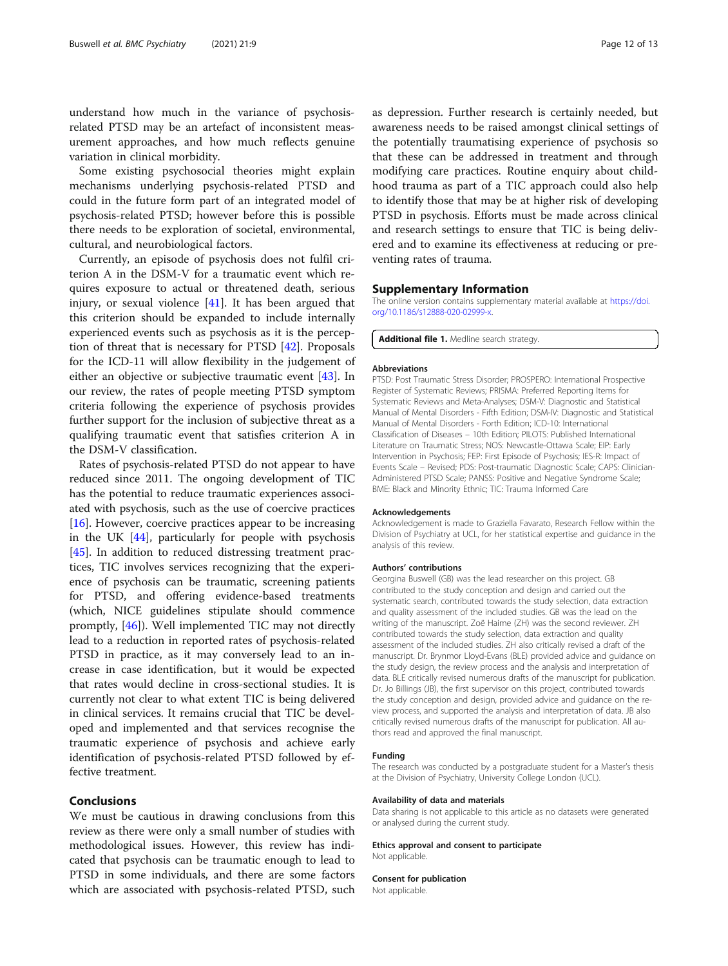<span id="page-11-0"></span>understand how much in the variance of psychosisrelated PTSD may be an artefact of inconsistent measurement approaches, and how much reflects genuine variation in clinical morbidity.

Some existing psychosocial theories might explain mechanisms underlying psychosis-related PTSD and could in the future form part of an integrated model of psychosis-related PTSD; however before this is possible there needs to be exploration of societal, environmental, cultural, and neurobiological factors.

Currently, an episode of psychosis does not fulfil criterion A in the DSM-V for a traumatic event which requires exposure to actual or threatened death, serious injury, or sexual violence [[41](#page-12-0)]. It has been argued that this criterion should be expanded to include internally experienced events such as psychosis as it is the perception of threat that is necessary for PTSD [[42\]](#page-12-0). Proposals for the ICD-11 will allow flexibility in the judgement of either an objective or subjective traumatic event [\[43](#page-12-0)]. In our review, the rates of people meeting PTSD symptom criteria following the experience of psychosis provides further support for the inclusion of subjective threat as a qualifying traumatic event that satisfies criterion A in the DSM-V classification.

Rates of psychosis-related PTSD do not appear to have reduced since 2011. The ongoing development of TIC has the potential to reduce traumatic experiences associated with psychosis, such as the use of coercive practices [[16\]](#page-12-0). However, coercive practices appear to be increasing in the UK  $[44]$  $[44]$ , particularly for people with psychosis [[45\]](#page-12-0). In addition to reduced distressing treatment practices, TIC involves services recognizing that the experience of psychosis can be traumatic, screening patients for PTSD, and offering evidence-based treatments (which, NICE guidelines stipulate should commence promptly, [[46\]](#page-12-0)). Well implemented TIC may not directly lead to a reduction in reported rates of psychosis-related PTSD in practice, as it may conversely lead to an increase in case identification, but it would be expected that rates would decline in cross-sectional studies. It is currently not clear to what extent TIC is being delivered in clinical services. It remains crucial that TIC be developed and implemented and that services recognise the traumatic experience of psychosis and achieve early identification of psychosis-related PTSD followed by effective treatment.

# Conclusions

We must be cautious in drawing conclusions from this review as there were only a small number of studies with methodological issues. However, this review has indicated that psychosis can be traumatic enough to lead to PTSD in some individuals, and there are some factors which are associated with psychosis-related PTSD, such

as depression. Further research is certainly needed, but awareness needs to be raised amongst clinical settings of the potentially traumatising experience of psychosis so that these can be addressed in treatment and through modifying care practices. Routine enquiry about childhood trauma as part of a TIC approach could also help to identify those that may be at higher risk of developing PTSD in psychosis. Efforts must be made across clinical and research settings to ensure that TIC is being delivered and to examine its effectiveness at reducing or preventing rates of trauma.

#### Supplementary Information

The online version contains supplementary material available at [https://doi.](https://doi.org/10.1186/s12888-020-02999-x) [org/10.1186/s12888-020-02999-x](https://doi.org/10.1186/s12888-020-02999-x).

#### Additional file 1. Medline search strategy.

#### Abbreviations

PTSD: Post Traumatic Stress Disorder; PROSPERO: International Prospective Register of Systematic Reviews; PRISMA: Preferred Reporting Items for Systematic Reviews and Meta-Analyses; DSM-V: Diagnostic and Statistical Manual of Mental Disorders - Fifth Edition; DSM-IV: Diagnostic and Statistical Manual of Mental Disorders - Forth Edition; ICD-10: International Classification of Diseases – 10th Edition; PILOTS: Published International Literature on Traumatic Stress; NOS: Newcastle-Ottawa Scale; EIP: Early Intervention in Psychosis; FEP: First Episode of Psychosis; IES-R: Impact of Events Scale – Revised; PDS: Post-traumatic Diagnostic Scale; CAPS: Clinician-Administered PTSD Scale; PANSS: Positive and Negative Syndrome Scale; BME: Black and Minority Ethnic; TIC: Trauma Informed Care

#### Acknowledgements

Acknowledgement is made to Graziella Favarato, Research Fellow within the Division of Psychiatry at UCL, for her statistical expertise and guidance in the analysis of this review.

#### Authors' contributions

Georgina Buswell (GB) was the lead researcher on this project. GB contributed to the study conception and design and carried out the systematic search, contributed towards the study selection, data extraction and quality assessment of the included studies. GB was the lead on the writing of the manuscript. Zoë Haime (ZH) was the second reviewer. ZH contributed towards the study selection, data extraction and quality assessment of the included studies. ZH also critically revised a draft of the manuscript. Dr. Brynmor Lloyd-Evans (BLE) provided advice and guidance on the study design, the review process and the analysis and interpretation of data. BLE critically revised numerous drafts of the manuscript for publication. Dr. Jo Billings (JB), the first supervisor on this project, contributed towards the study conception and design, provided advice and guidance on the review process, and supported the analysis and interpretation of data. JB also critically revised numerous drafts of the manuscript for publication. All authors read and approved the final manuscript.

#### Funding

The research was conducted by a postgraduate student for a Master's thesis at the Division of Psychiatry, University College London (UCL).

#### Availability of data and materials

Data sharing is not applicable to this article as no datasets were generated or analysed during the current study.

Ethics approval and consent to participate Not applicable.

#### Consent for publication

Not applicable.